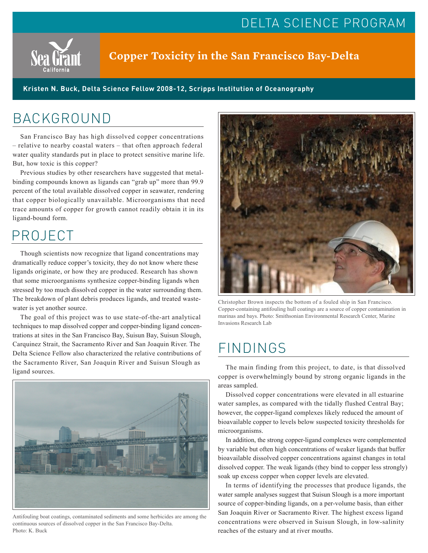## DELTA SCIENCE PROGRAM



### **Copper Toxicity in the San Francisco Bay-Delta**

**Kristen N. Buck, Delta Science Fellow 2008-12, Scripps Institution of Oceanography**

### BACKGROUND

San Francisco Bay has high dissolved copper concentrations – relative to nearby coastal waters – that often approach federal water quality standards put in place to protect sensitive marine life. But, how toxic is this copper?

Previous studies by other researchers have suggested that metalbinding compounds known as ligands can "grab up" more than 99.9 percent of the total available dissolved copper in seawater, rendering that copper biologically unavailable. Microorganisms that need trace amounts of copper for growth cannot readily obtain it in its ligand-bound form.

# PROJECT

Though scientists now recognize that ligand concentrations may dramatically reduce copper's toxicity, they do not know where these ligands originate, or how they are produced. Research has shown that some microorganisms synthesize copper-binding ligands when stressed by too much dissolved copper in the water surrounding them. The breakdown of plant debris produces ligands, and treated wastewater is yet another source.

The goal of this project was to use state-of-the-art analytical techniques to map dissolved copper and copper-binding ligand concentrations at sites in the San Francisco Bay, Suisun Bay, Suisun Slough, Carquinez Strait, the Sacramento River and San Joaquin River. The Delta Science Fellow also characterized the relative contributions of the Sacramento River, San Joaquin River and Suisun Slough as Iligand sources.<br>Iligand sources.



Antifouling boat coatings, contaminated sediments and some herbicides are among the continuous sources of dissolved copper in the San Francisco Bay-Delta. Photo: K. Buck



Christopher Brown inspects the bottom of a fouled ship in San Francisco. Copper-containing antifouling hull coatings are a source of copper contamination in marinas and bays. Photo: Smithsonian Environmental Research Center, Marine Invasions Research Lab

# FINDINGS

copper is overwhelmingly bound by strong organic ligands in the areas sampled.

Dissolved copper concentrations were elevated in all estuarine water samples, as compared with the tidally flushed Central Bay; however, the copper-ligand complexes likely reduced the amount of bioavailable copper to levels below suspected toxicity thresholds for microorganisms.

In addition, the strong copper-ligand complexes were complemented by variable but often high concentrations of weaker ligands that buffer bioavailable dissolved copper concentrations against changes in total dissolved copper. The weak ligands (they bind to copper less strongly) soak up excess copper when copper levels are elevated.

In terms of identifying the processes that produce ligands, the water sample analyses suggest that Suisun Slough is a more important source of copper-binding ligands, on a per-volume basis, than either San Joaquin River or Sacramento River. The highest excess ligand concentrations were observed in Suisun Slough, in low-salinity reaches of the estuary and at river mouths.